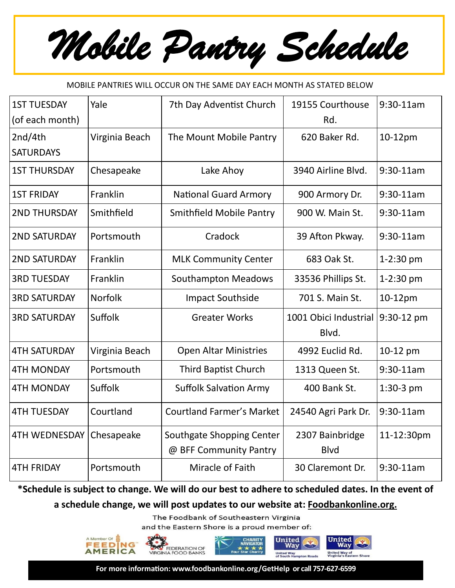*Mobile Pantry Schedule* 

## MOBILE PANTRIES WILL OCCUR ON THE SAME DAY EACH MONTH AS STATED BELOW

| <b>1ST TUESDAY</b>   | Yale           | 7th Day Adventist Church         | 19155 Courthouse      | $9:30-11am$ |
|----------------------|----------------|----------------------------------|-----------------------|-------------|
| (of each month)      |                |                                  | Rd.                   |             |
| 2nd/4th              | Virginia Beach | The Mount Mobile Pantry          | 620 Baker Rd.         | 10-12pm     |
| <b>SATURDAYS</b>     |                |                                  |                       |             |
| <b>1ST THURSDAY</b>  | Chesapeake     | Lake Ahoy                        | 3940 Airline Blvd.    | $9:30-11am$ |
| <b>1ST FRIDAY</b>    | Franklin       | <b>National Guard Armory</b>     | 900 Armory Dr.        | $9:30-11am$ |
| <b>2ND THURSDAY</b>  | Smithfield     | <b>Smithfield Mobile Pantry</b>  | 900 W. Main St.       | $9:30-11am$ |
| <b>2ND SATURDAY</b>  | Portsmouth     | Cradock                          | 39 Afton Pkway.       | $9:30-11am$ |
| <b>2ND SATURDAY</b>  | Franklin       | <b>MLK Community Center</b>      | 683 Oak St.           | 1-2:30 pm   |
| <b>3RD TUESDAY</b>   | Franklin       | <b>Southampton Meadows</b>       | 33536 Phillips St.    | 1-2:30 pm   |
| <b>3RD SATURDAY</b>  | <b>Norfolk</b> | <b>Impact Southside</b>          | 701 S. Main St.       | 10-12pm     |
| <b>3RD SATURDAY</b>  | Suffolk        | <b>Greater Works</b>             | 1001 Obici Industrial | 9:30-12 pm  |
|                      |                |                                  | Blvd.                 |             |
| <b>4TH SATURDAY</b>  | Virginia Beach | <b>Open Altar Ministries</b>     | 4992 Euclid Rd.       | 10-12 pm    |
| <b>4TH MONDAY</b>    | Portsmouth     | <b>Third Baptist Church</b>      | 1313 Queen St.        | 9:30-11am   |
| <b>4TH MONDAY</b>    | Suffolk        | <b>Suffolk Salvation Army</b>    | 400 Bank St.          | 1:30-3 pm   |
| <b>4TH TUESDAY</b>   | Courtland      | <b>Courtland Farmer's Market</b> | 24540 Agri Park Dr.   | 9:30-11am   |
| <b>4TH WEDNESDAY</b> | Chesapeake     | Southgate Shopping Center        | 2307 Bainbridge       | 11-12:30pm  |
|                      |                | @ BFF Community Pantry           | <b>Blvd</b>           |             |
| <b>4TH FRIDAY</b>    | Portsmouth     | Miracle of Faith                 | 30 Claremont Dr.      | $9:30-11am$ |

**\*Schedule is subject to change. We will do our best to adhere to scheduled dates. In the event of** 

**a schedule change, we will post updates to our website at: Foodbankonline.org.** 

The Foodbank of Southeastern Virginia

and the Eastern Shore is a proud member of:



**For more information: [www.foodbankonline.org/GetHelp](http://www.foodbankonline.org/GetHelp) or call 757-627-6599**